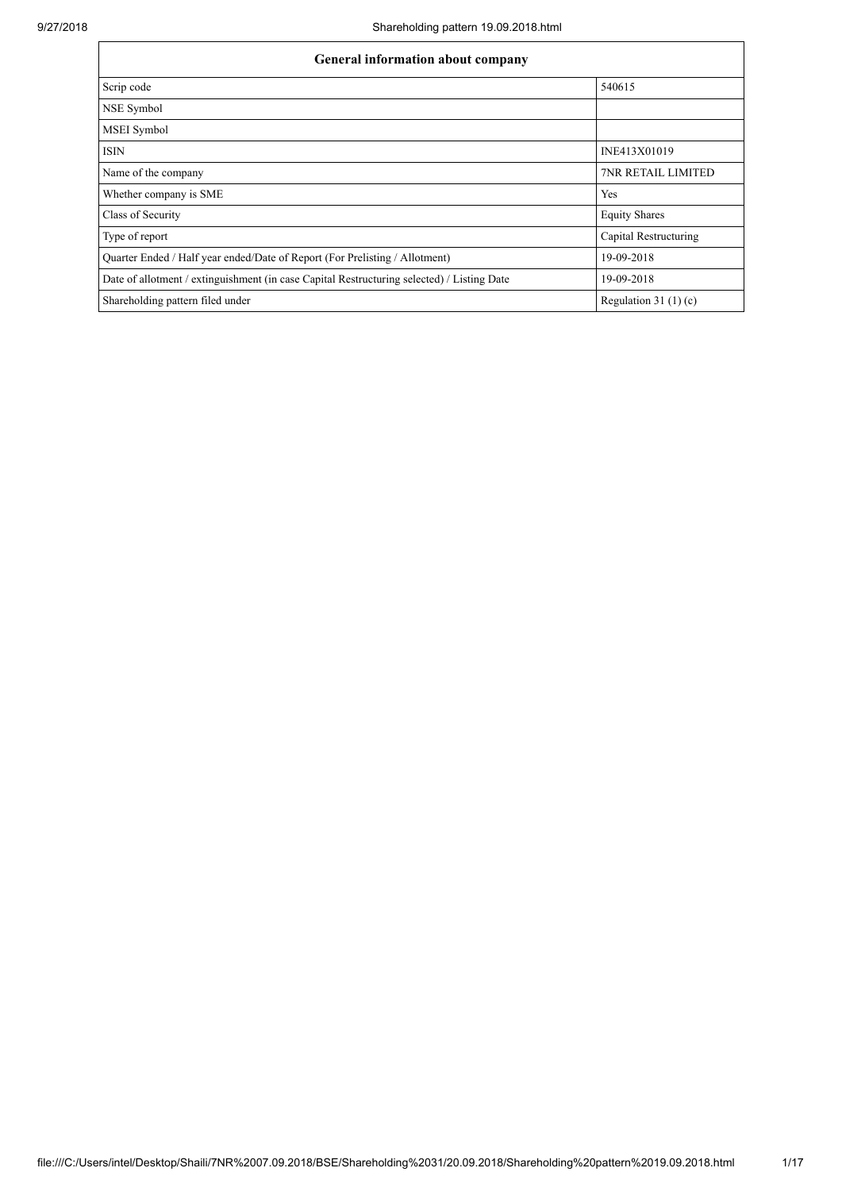| General information about company                                                          |                           |  |  |  |  |  |  |  |
|--------------------------------------------------------------------------------------------|---------------------------|--|--|--|--|--|--|--|
| Scrip code                                                                                 | 540615                    |  |  |  |  |  |  |  |
| NSE Symbol                                                                                 |                           |  |  |  |  |  |  |  |
| <b>MSEI</b> Symbol                                                                         |                           |  |  |  |  |  |  |  |
| ISIN                                                                                       | INE413X01019              |  |  |  |  |  |  |  |
| Name of the company                                                                        | <b>7NR RETAIL LIMITED</b> |  |  |  |  |  |  |  |
| Whether company is SME                                                                     | Yes                       |  |  |  |  |  |  |  |
| Class of Security                                                                          | <b>Equity Shares</b>      |  |  |  |  |  |  |  |
| Type of report                                                                             | Capital Restructuring     |  |  |  |  |  |  |  |
| Quarter Ended / Half year ended/Date of Report (For Prelisting / Allotment)                | 19-09-2018                |  |  |  |  |  |  |  |
| Date of allotment / extinguishment (in case Capital Restructuring selected) / Listing Date | 19-09-2018                |  |  |  |  |  |  |  |
| Shareholding pattern filed under                                                           | Regulation 31 $(1)(c)$    |  |  |  |  |  |  |  |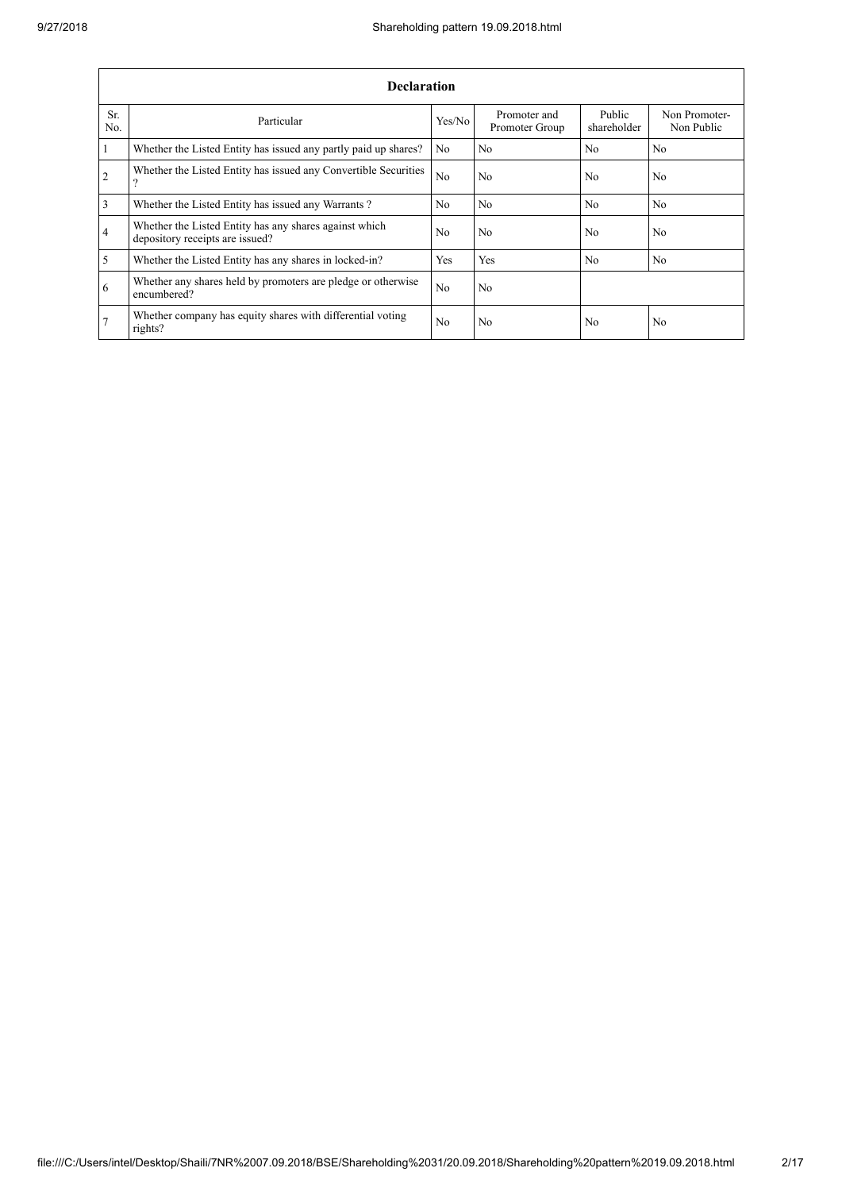|                | <b>Declaration</b>                                                                        |                |                                |                       |                             |  |  |  |  |  |  |  |
|----------------|-------------------------------------------------------------------------------------------|----------------|--------------------------------|-----------------------|-----------------------------|--|--|--|--|--|--|--|
| Sr.<br>No.     | Particular                                                                                | Yes/No         | Promoter and<br>Promoter Group | Public<br>shareholder | Non Promoter-<br>Non Public |  |  |  |  |  |  |  |
| $\mathbf{1}$   | Whether the Listed Entity has issued any partly paid up shares?                           | N <sub>0</sub> | No                             | N <sub>0</sub>        | N <sub>o</sub>              |  |  |  |  |  |  |  |
| $\overline{2}$ | Whether the Listed Entity has issued any Convertible Securities<br>റ                      | N <sub>o</sub> | No                             | N <sub>0</sub>        | No                          |  |  |  |  |  |  |  |
| $\overline{3}$ | Whether the Listed Entity has issued any Warrants?                                        | No.            | N <sub>0</sub>                 | No                    | N <sub>0</sub>              |  |  |  |  |  |  |  |
| $\overline{4}$ | Whether the Listed Entity has any shares against which<br>depository receipts are issued? | N <sub>o</sub> | No                             | N <sub>0</sub>        | No                          |  |  |  |  |  |  |  |
| $\overline{5}$ | Whether the Listed Entity has any shares in locked-in?                                    | Yes            | Yes                            | N <sub>0</sub>        | N <sub>o</sub>              |  |  |  |  |  |  |  |
| 6              | Whether any shares held by promoters are pledge or otherwise<br>encumbered?               | N <sub>o</sub> | No                             |                       |                             |  |  |  |  |  |  |  |
| 7              | Whether company has equity shares with differential voting<br>rights?                     | N <sub>0</sub> | No                             | N <sub>0</sub>        | No                          |  |  |  |  |  |  |  |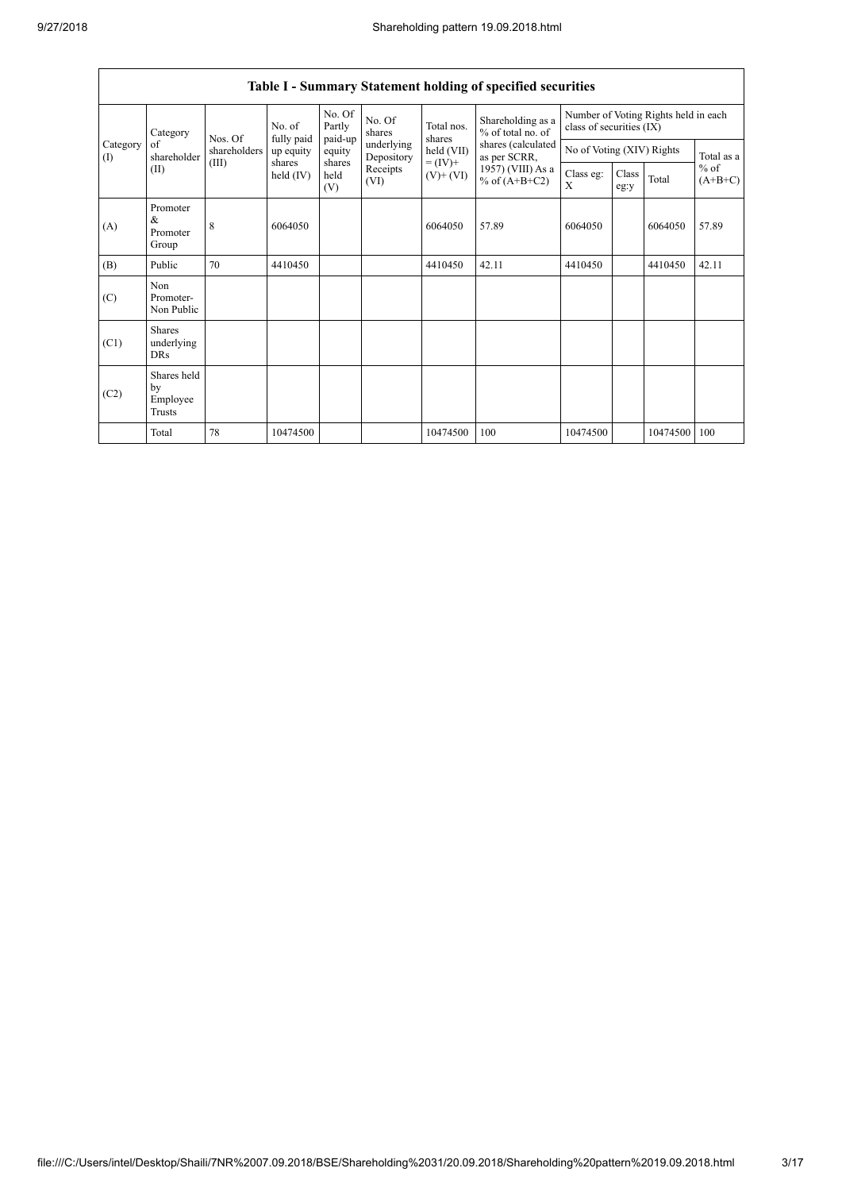$\mathbf{r}$ 

|                 | Table I - Summary Statement holding of specified securities |              |                       |                       |                          |                          |                                        |                                                                  |                           |          |                                   |  |  |
|-----------------|-------------------------------------------------------------|--------------|-----------------------|-----------------------|--------------------------|--------------------------|----------------------------------------|------------------------------------------------------------------|---------------------------|----------|-----------------------------------|--|--|
|                 | Category                                                    | Nos. Of      | No. of<br>fully paid  | No. Of<br>Partly      | No. Of<br>shares         | Total nos.<br>shares     | Shareholding as a<br>% of total no. of | Number of Voting Rights held in each<br>class of securities (IX) |                           |          |                                   |  |  |
| Category<br>(1) | of<br>shareholder                                           | shareholders | up equity             | paid-up<br>equity     | underlying<br>Depository | held (VII)               | shares (calculated<br>as per SCRR,     |                                                                  | No of Voting (XIV) Rights |          |                                   |  |  |
|                 | (II)                                                        | (III)        | shares<br>held $(IV)$ | shares<br>held<br>(V) | Receipts<br>(VI)         | $= (IV) +$<br>$(V)+(VI)$ | 1957) (VIII) As a<br>% of $(A+B+C2)$   | Class eg:<br>X                                                   | Class<br>eg:y             | Total    | Total as a<br>$%$ of<br>$(A+B+C)$ |  |  |
| (A)             | Promoter<br>$\&$<br>Promoter<br>Group                       | 8            | 6064050               |                       |                          | 6064050                  | 57.89                                  | 6064050                                                          |                           | 6064050  | 57.89                             |  |  |
| (B)             | Public                                                      | 70           | 4410450               |                       |                          | 4410450                  | 42.11                                  | 4410450                                                          |                           | 4410450  | 42.11                             |  |  |
| (C)             | Non<br>Promoter-<br>Non Public                              |              |                       |                       |                          |                          |                                        |                                                                  |                           |          |                                   |  |  |
| (C1)            | <b>Shares</b><br>underlying<br><b>DRs</b>                   |              |                       |                       |                          |                          |                                        |                                                                  |                           |          |                                   |  |  |
| (C2)            | Shares held<br>by<br>Employee<br>Trusts                     |              |                       |                       |                          |                          |                                        |                                                                  |                           |          |                                   |  |  |
|                 | Total                                                       | 78           | 10474500              |                       |                          | 10474500                 | 100                                    | 10474500                                                         |                           | 10474500 | 100                               |  |  |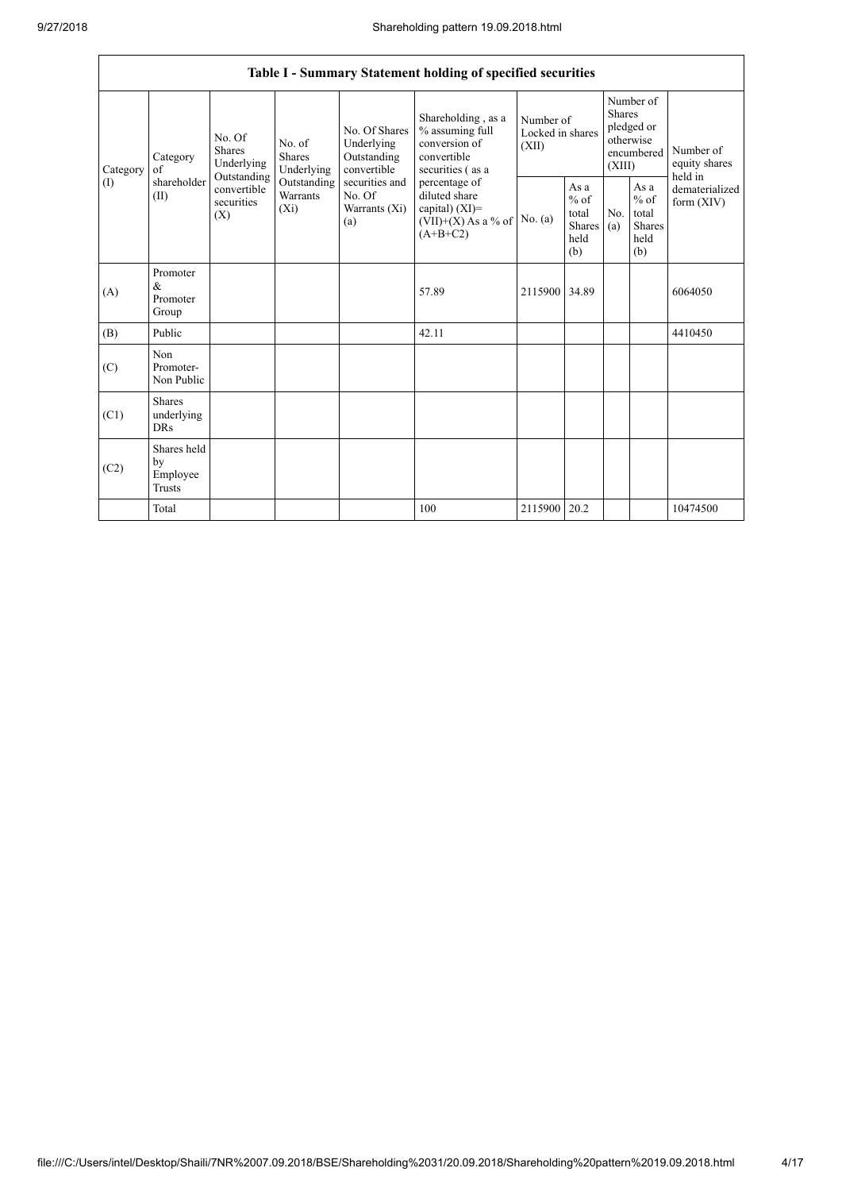|                 | Table I - Summary Statement holding of specified securities |                                                                                          |                                                                             |                                                                                                               |                                                                                                                                                                                         |                                        |                                                                               |            |                                                         |                                |  |  |
|-----------------|-------------------------------------------------------------|------------------------------------------------------------------------------------------|-----------------------------------------------------------------------------|---------------------------------------------------------------------------------------------------------------|-----------------------------------------------------------------------------------------------------------------------------------------------------------------------------------------|----------------------------------------|-------------------------------------------------------------------------------|------------|---------------------------------------------------------|--------------------------------|--|--|
| Category<br>(1) | Category<br>of<br>shareholder<br>(II)                       | No. Of<br><b>Shares</b><br>Underlying<br>Outstanding<br>convertible<br>securities<br>(X) | No. of<br><b>Shares</b><br>Underlying<br>Outstanding<br>Warrants<br>$(X_i)$ | No. Of Shares<br>Underlying<br>Outstanding<br>convertible<br>securities and<br>No. Of<br>Warrants (Xi)<br>(a) | Shareholding, as a<br>% assuming full<br>conversion of<br>convertible<br>securities (as a<br>percentage of<br>diluted share<br>capital) $(XI)$ =<br>$(VII)+(X)$ As a % of<br>$(A+B+C2)$ | Number of<br>Locked in shares<br>(XII) | Number of<br><b>Shares</b><br>pledged or<br>otherwise<br>encumbered<br>(XIII) |            | Number of<br>equity shares<br>held in                   |                                |  |  |
|                 |                                                             |                                                                                          |                                                                             |                                                                                                               |                                                                                                                                                                                         | No. (a)                                | As a<br>$%$ of<br>total<br>Shares<br>held<br>(b)                              | No.<br>(a) | As a<br>$%$ of<br>total<br><b>Shares</b><br>held<br>(b) | dematerialized<br>form $(XIV)$ |  |  |
| (A)             | Promoter<br>$\&$<br>Promoter<br>Group                       |                                                                                          |                                                                             |                                                                                                               | 57.89                                                                                                                                                                                   | 2115900 34.89                          |                                                                               |            |                                                         | 6064050                        |  |  |
| (B)             | Public                                                      |                                                                                          |                                                                             |                                                                                                               | 42.11                                                                                                                                                                                   |                                        |                                                                               |            |                                                         | 4410450                        |  |  |
| (C)             | Non<br>Promoter-<br>Non Public                              |                                                                                          |                                                                             |                                                                                                               |                                                                                                                                                                                         |                                        |                                                                               |            |                                                         |                                |  |  |
| (C1)            | <b>Shares</b><br>underlying<br><b>DRs</b>                   |                                                                                          |                                                                             |                                                                                                               |                                                                                                                                                                                         |                                        |                                                                               |            |                                                         |                                |  |  |
| (C2)            | Shares held<br>by<br>Employee<br><b>Trusts</b>              |                                                                                          |                                                                             |                                                                                                               |                                                                                                                                                                                         |                                        |                                                                               |            |                                                         |                                |  |  |
|                 | Total                                                       |                                                                                          |                                                                             |                                                                                                               | 100                                                                                                                                                                                     | 2115900 20.2                           |                                                                               |            |                                                         | 10474500                       |  |  |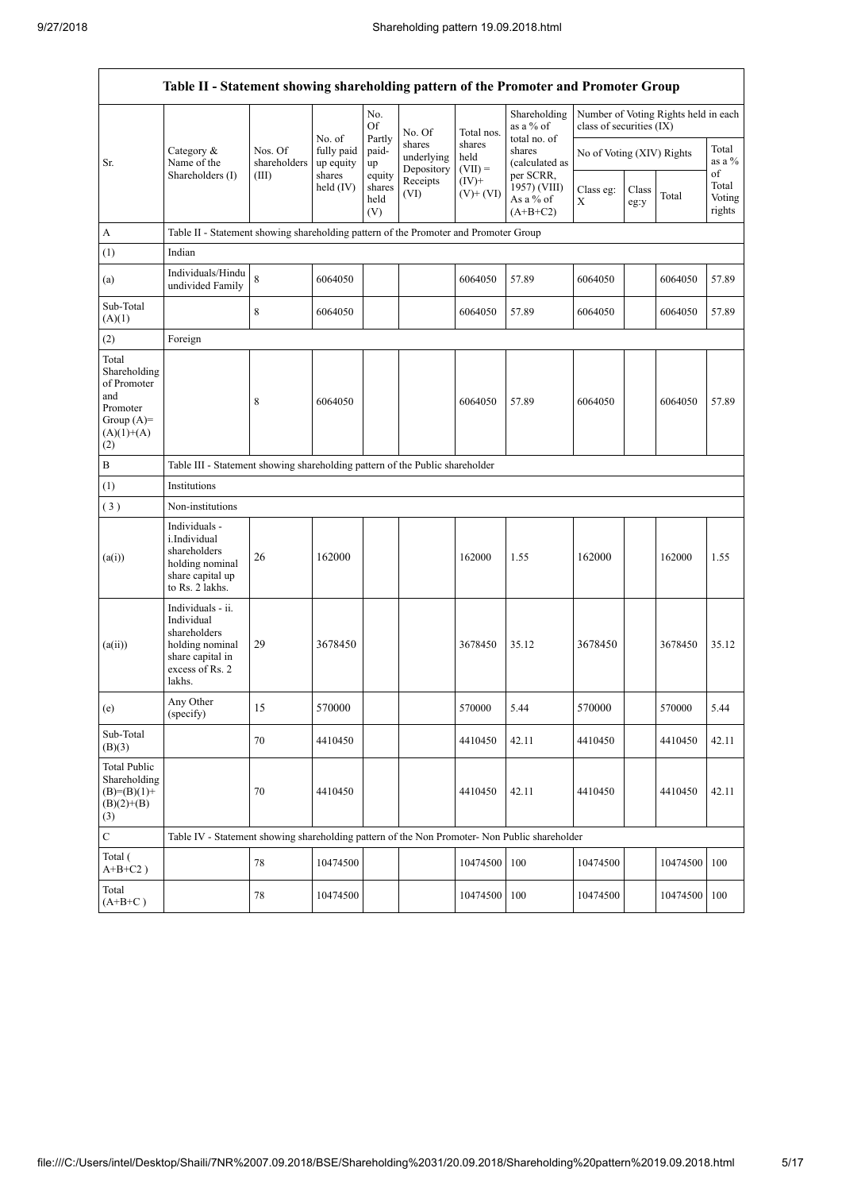$\overline{1}$ 

 $\overline{\mathsf{I}}$ 

|                                                                                                | Table II - Statement showing shareholding pattern of the Promoter and Promoter Group                                |                                  |                                   |                                 |                                    |                             |                                                       |                           |               |                                      |                           |  |  |
|------------------------------------------------------------------------------------------------|---------------------------------------------------------------------------------------------------------------------|----------------------------------|-----------------------------------|---------------------------------|------------------------------------|-----------------------------|-------------------------------------------------------|---------------------------|---------------|--------------------------------------|---------------------------|--|--|
|                                                                                                |                                                                                                                     |                                  | No. of                            | $\rm No.$<br>Of                 | No. Of                             | Total nos.                  | Shareholding<br>as a % of                             | class of securities (IX)  |               | Number of Voting Rights held in each |                           |  |  |
| Sr.                                                                                            | Category &<br>Name of the<br>Shareholders (I)                                                                       | Nos. Of<br>shareholders<br>(III) | fully paid<br>up equity<br>shares | Partly<br>paid-<br>up<br>equity | shares<br>underlying<br>Depository | shares<br>held<br>$(VII) =$ | total no. of<br>shares<br>(calculated as<br>per SCRR. | No of Voting (XIV) Rights |               |                                      | Total<br>as a %<br>of     |  |  |
|                                                                                                |                                                                                                                     |                                  | held $(IV)$                       | shares<br>held<br>(V)           | Receipts<br>(VI)                   | $(IV)$ +<br>$(V)+(VI)$      | 1957) (VIII)<br>As a % of<br>$(A+B+C2)$               | Class eg:<br>X            | Class<br>eg:y | Total                                | Total<br>Voting<br>rights |  |  |
| A                                                                                              | Table II - Statement showing shareholding pattern of the Promoter and Promoter Group                                |                                  |                                   |                                 |                                    |                             |                                                       |                           |               |                                      |                           |  |  |
| (1)                                                                                            | Indian                                                                                                              |                                  |                                   |                                 |                                    |                             |                                                       |                           |               |                                      |                           |  |  |
| (a)                                                                                            | Individuals/Hindu<br>undivided Family                                                                               | $\,8\,$                          | 6064050                           |                                 |                                    | 6064050                     | 57.89                                                 | 6064050                   |               | 6064050                              | 57.89                     |  |  |
| Sub-Total<br>(A)(1)                                                                            |                                                                                                                     | 8                                | 6064050                           |                                 |                                    | 6064050                     | 57.89                                                 | 6064050                   |               | 6064050                              | 57.89                     |  |  |
| (2)                                                                                            | Foreign                                                                                                             |                                  |                                   |                                 |                                    |                             |                                                       |                           |               |                                      |                           |  |  |
| Total<br>Shareholding<br>of Promoter<br>and<br>Promoter<br>Group $(A)=$<br>$(A)(1)+(A)$<br>(2) |                                                                                                                     | 8                                | 6064050                           |                                 |                                    | 6064050                     | 57.89                                                 | 6064050                   |               | 6064050                              | 57.89                     |  |  |
| B                                                                                              | Table III - Statement showing shareholding pattern of the Public shareholder                                        |                                  |                                   |                                 |                                    |                             |                                                       |                           |               |                                      |                           |  |  |
| (1)                                                                                            | Institutions                                                                                                        |                                  |                                   |                                 |                                    |                             |                                                       |                           |               |                                      |                           |  |  |
| (3)                                                                                            | Non-institutions                                                                                                    |                                  |                                   |                                 |                                    |                             |                                                       |                           |               |                                      |                           |  |  |
| (a(i))                                                                                         | Individuals -<br>i.Individual<br>shareholders<br>holding nominal<br>share capital up<br>to Rs. 2 lakhs.             | 26                               | 162000                            |                                 |                                    | 162000                      | 1.55                                                  | 162000                    |               | 162000                               | 1.55                      |  |  |
| (a(ii))                                                                                        | Individuals - ii.<br>Individual<br>shareholders<br>holding nominal<br>share capital in<br>excess of Rs. 2<br>lakhs. | 29                               | 3678450                           |                                 |                                    | 3678450                     | 35.12                                                 | 3678450                   |               | 3678450                              | 35.12                     |  |  |
| (e)                                                                                            | Any Other<br>(specify)                                                                                              | 15                               | 570000                            |                                 |                                    | 570000                      | 5.44                                                  | 570000                    |               | 570000                               | 5.44                      |  |  |
| Sub-Total<br>(B)(3)                                                                            |                                                                                                                     | 70                               | 4410450                           |                                 |                                    | 4410450                     | 42.11                                                 | 4410450                   |               | 4410450                              | 42.11                     |  |  |
| <b>Total Public</b><br>Shareholding<br>$(B)=(B)(1)+$<br>$(B)(2)+(B)$<br>(3)                    |                                                                                                                     | 70                               | 4410450                           |                                 |                                    | 4410450                     | 42.11                                                 | 4410450                   |               | 4410450                              | 42.11                     |  |  |
| $\mathbf C$                                                                                    | Table IV - Statement showing shareholding pattern of the Non Promoter- Non Public shareholder                       |                                  |                                   |                                 |                                    |                             |                                                       |                           |               |                                      |                           |  |  |
| Total (<br>$A+B+C2$ )                                                                          |                                                                                                                     | 78                               | 10474500                          |                                 |                                    | 10474500                    | 100                                                   | 10474500                  |               | 10474500                             | 100                       |  |  |
| Total<br>$(A+B+C)$                                                                             |                                                                                                                     | 78                               | 10474500                          |                                 |                                    | 10474500                    | 100                                                   | 10474500                  |               | 10474500 100                         |                           |  |  |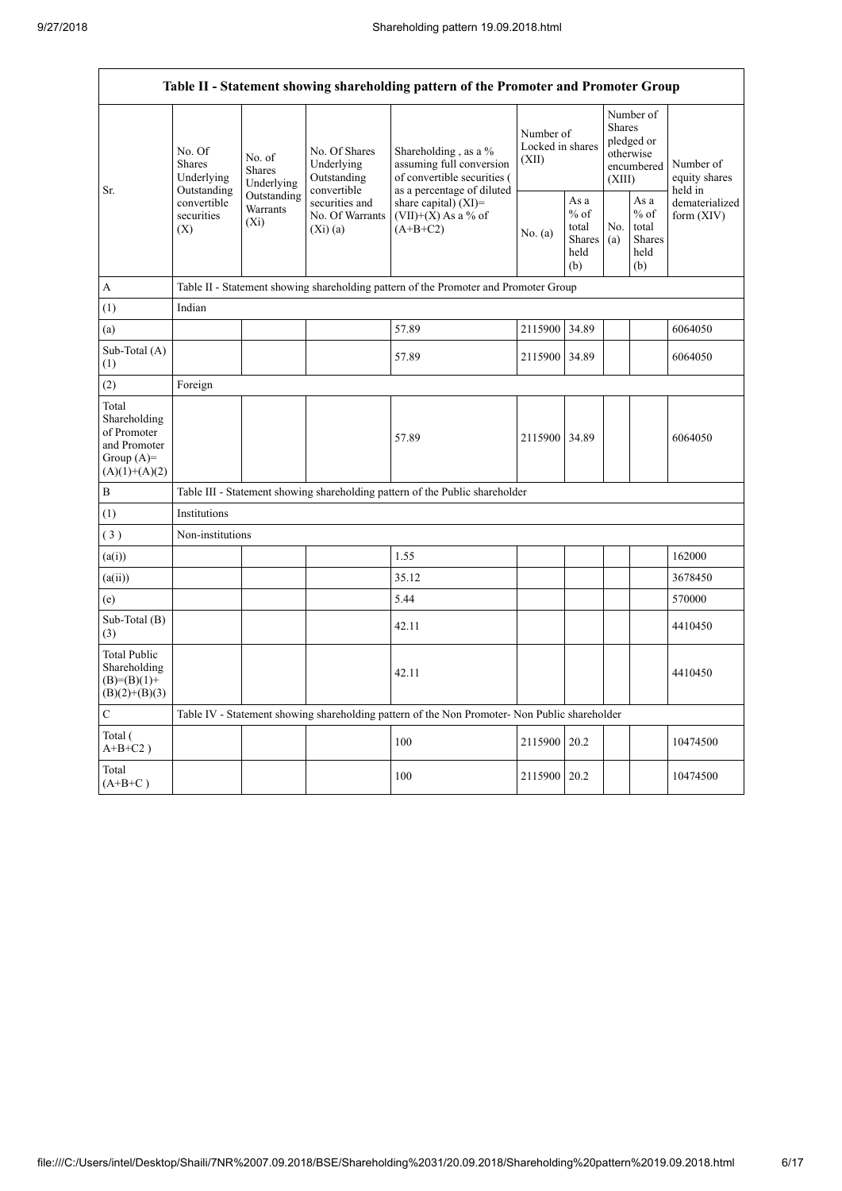$\overline{1}$ 

 $\overline{\mathsf{I}}$ 

|                                                                                          | Table II - Statement showing shareholding pattern of the Promoter and Promoter Group |                                                                                                          |                                            |                                                                                               |                                        |                                                         |                                                                        |                                                         |                                       |  |  |  |  |
|------------------------------------------------------------------------------------------|--------------------------------------------------------------------------------------|----------------------------------------------------------------------------------------------------------|--------------------------------------------|-----------------------------------------------------------------------------------------------|----------------------------------------|---------------------------------------------------------|------------------------------------------------------------------------|---------------------------------------------------------|---------------------------------------|--|--|--|--|
|                                                                                          | No. Of<br>Shares<br>Underlying<br>Outstanding<br>convertible<br>securities<br>(X)    | No. of<br><b>Shares</b><br>Underlying                                                                    | No. Of Shares<br>Underlying<br>Outstanding | Shareholding, as a $%$<br>assuming full conversion<br>of convertible securities (             | Number of<br>Locked in shares<br>(XII) |                                                         | Number of<br>Shares<br>pledged or<br>otherwise<br>encumbered<br>(XIII) |                                                         | Number of<br>equity shares<br>held in |  |  |  |  |
| Sr.                                                                                      |                                                                                      | convertible<br>Outstanding<br>securities and<br><b>Warrants</b><br>No. Of Warrants<br>$(X_i)$<br>(Xi)(a) |                                            | as a percentage of diluted<br>share capital) $(XI)$ =<br>$(VII)+(X)$ As a % of<br>$(A+B+C2)$  | No. (a)                                | As a<br>$%$ of<br>total<br><b>Shares</b><br>held<br>(b) | No.<br>(a)                                                             | As a<br>$%$ of<br>total<br><b>Shares</b><br>held<br>(b) | dematerialized<br>form $(XIV)$        |  |  |  |  |
| $\mathbf{A}$                                                                             |                                                                                      |                                                                                                          |                                            | Table II - Statement showing shareholding pattern of the Promoter and Promoter Group          |                                        |                                                         |                                                                        |                                                         |                                       |  |  |  |  |
| (1)                                                                                      | Indian                                                                               |                                                                                                          |                                            |                                                                                               |                                        |                                                         |                                                                        |                                                         |                                       |  |  |  |  |
| (a)                                                                                      |                                                                                      |                                                                                                          |                                            | 57.89                                                                                         | 2115900 34.89                          |                                                         |                                                                        |                                                         | 6064050                               |  |  |  |  |
| Sub-Total (A)<br>(1)                                                                     |                                                                                      |                                                                                                          |                                            | 57.89                                                                                         | 2115900                                | 34.89                                                   |                                                                        |                                                         | 6064050                               |  |  |  |  |
| (2)                                                                                      | Foreign                                                                              |                                                                                                          |                                            |                                                                                               |                                        |                                                         |                                                                        |                                                         |                                       |  |  |  |  |
| Total<br>Shareholding<br>of Promoter<br>and Promoter<br>Group $(A)$ =<br>$(A)(1)+(A)(2)$ |                                                                                      |                                                                                                          |                                            | 57.89                                                                                         | 2115900                                | 34.89                                                   |                                                                        |                                                         | 6064050                               |  |  |  |  |
| $\, {\bf B}$                                                                             |                                                                                      |                                                                                                          |                                            | Table III - Statement showing shareholding pattern of the Public shareholder                  |                                        |                                                         |                                                                        |                                                         |                                       |  |  |  |  |
| (1)                                                                                      | Institutions                                                                         |                                                                                                          |                                            |                                                                                               |                                        |                                                         |                                                                        |                                                         |                                       |  |  |  |  |
| (3)                                                                                      | Non-institutions                                                                     |                                                                                                          |                                            |                                                                                               |                                        |                                                         |                                                                        |                                                         |                                       |  |  |  |  |
| (a(i))                                                                                   |                                                                                      |                                                                                                          |                                            | 1.55                                                                                          |                                        |                                                         |                                                                        |                                                         | 162000                                |  |  |  |  |
| (a(ii))                                                                                  |                                                                                      |                                                                                                          |                                            | 35.12                                                                                         |                                        |                                                         |                                                                        |                                                         | 3678450                               |  |  |  |  |
| (e)                                                                                      |                                                                                      |                                                                                                          |                                            | 5.44                                                                                          |                                        |                                                         |                                                                        |                                                         | 570000                                |  |  |  |  |
| Sub-Total (B)<br>(3)                                                                     |                                                                                      |                                                                                                          |                                            | 42.11                                                                                         |                                        |                                                         |                                                                        |                                                         | 4410450                               |  |  |  |  |
| <b>Total Public</b><br>Shareholding<br>$(B)= (B)(1) +$<br>$(B)(2)+(B)(3)$                |                                                                                      |                                                                                                          |                                            | 42.11                                                                                         |                                        |                                                         |                                                                        |                                                         | 4410450                               |  |  |  |  |
| $\mathbf C$                                                                              |                                                                                      |                                                                                                          |                                            | Table IV - Statement showing shareholding pattern of the Non Promoter- Non Public shareholder |                                        |                                                         |                                                                        |                                                         |                                       |  |  |  |  |
| Total (<br>$A+B+C2$ )                                                                    |                                                                                      |                                                                                                          |                                            | 100                                                                                           | 2115900                                | 20.2                                                    |                                                                        |                                                         | 10474500                              |  |  |  |  |
| Total<br>$(A+B+C)$                                                                       |                                                                                      |                                                                                                          |                                            | 100                                                                                           | 2115900                                | 20.2                                                    |                                                                        |                                                         | 10474500                              |  |  |  |  |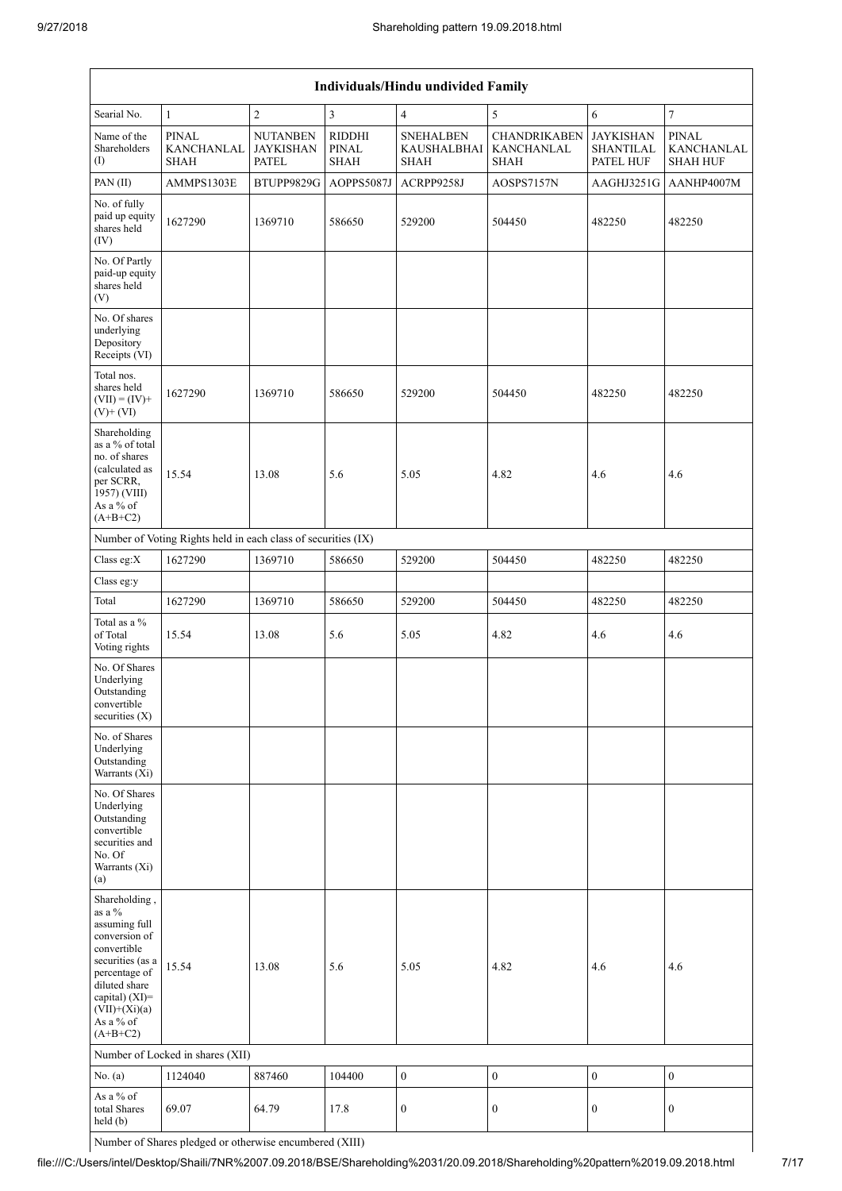| Individuals/Hindu undivided Family                                                                                                                                                                |                                                                                      |                                                     |                                       |                                                       |                                                  |                                                   |                                               |  |  |  |  |  |
|---------------------------------------------------------------------------------------------------------------------------------------------------------------------------------------------------|--------------------------------------------------------------------------------------|-----------------------------------------------------|---------------------------------------|-------------------------------------------------------|--------------------------------------------------|---------------------------------------------------|-----------------------------------------------|--|--|--|--|--|
| Searial No.                                                                                                                                                                                       | 5<br>$\mathbf{1}$<br>$\boldsymbol{2}$<br>3<br>$\overline{4}$<br>$\sqrt{6}$<br>$\tau$ |                                                     |                                       |                                                       |                                                  |                                                   |                                               |  |  |  |  |  |
| Name of the<br>Shareholders<br>$\left( \mathrm{I}\right)$                                                                                                                                         | <b>PINAL</b><br>KANCHANLAL<br><b>SHAH</b>                                            | <b>NUTANBEN</b><br><b>JAYKISHAN</b><br><b>PATEL</b> | <b>RIDDHI</b><br>PINAL<br><b>SHAH</b> | <b>SNEHALBEN</b><br><b>KAUSHALBHAI</b><br><b>SHAH</b> | <b>CHANDRIKABEN</b><br>KANCHANLAL<br><b>SHAH</b> | <b>JAYKISHAN</b><br><b>SHANTILAL</b><br>PATEL HUF | <b>PINAL</b><br>KANCHANLAL<br><b>SHAH HUF</b> |  |  |  |  |  |
| PAN (II)                                                                                                                                                                                          | AMMPS1303E                                                                           | BTUPP9829G                                          | AOPPS5087J                            | ACRPP9258J                                            | AOSPS7157N                                       | AAGHJ3251G                                        | AANHP4007M                                    |  |  |  |  |  |
| No. of fully<br>paid up equity<br>shares held<br>(IV)                                                                                                                                             | 1627290                                                                              | 1369710                                             | 586650                                | 529200                                                | 504450                                           | 482250                                            | 482250                                        |  |  |  |  |  |
| No. Of Partly<br>paid-up equity<br>shares held<br>(V)                                                                                                                                             |                                                                                      |                                                     |                                       |                                                       |                                                  |                                                   |                                               |  |  |  |  |  |
| No. Of shares<br>underlying<br>Depository<br>Receipts (VI)                                                                                                                                        |                                                                                      |                                                     |                                       |                                                       |                                                  |                                                   |                                               |  |  |  |  |  |
| Total nos.<br>shares held<br>$(VII) = (IV) +$<br>$(V)$ + $(VI)$                                                                                                                                   | 1627290                                                                              | 1369710                                             | 586650                                | 529200                                                | 504450                                           | 482250                                            | 482250                                        |  |  |  |  |  |
| Shareholding<br>as a % of total<br>no. of shares<br>(calculated as<br>per SCRR,<br>1957) (VIII)<br>As a % of<br>$(A+B+C2)$                                                                        | 15.54                                                                                | 13.08                                               | 5.6                                   | 5.05                                                  | 4.82                                             | 4.6                                               | 4.6                                           |  |  |  |  |  |
|                                                                                                                                                                                                   | Number of Voting Rights held in each class of securities (IX)                        |                                                     |                                       |                                                       |                                                  |                                                   |                                               |  |  |  |  |  |
| Class eg:X                                                                                                                                                                                        | 1627290                                                                              | 1369710                                             | 586650                                | 529200                                                | 504450                                           | 482250                                            | 482250                                        |  |  |  |  |  |
| Class eg:y                                                                                                                                                                                        |                                                                                      |                                                     |                                       |                                                       |                                                  |                                                   |                                               |  |  |  |  |  |
| Total                                                                                                                                                                                             | 1627290                                                                              | 1369710                                             | 586650                                | 529200                                                | 504450                                           | 482250                                            | 482250                                        |  |  |  |  |  |
| Total as a %<br>of Total<br>Voting rights                                                                                                                                                         | 15.54                                                                                | 13.08                                               | 5.6                                   | 5.05                                                  | 4.82                                             | 4.6                                               | 4.6                                           |  |  |  |  |  |
| No. Of Shares<br>Underlying<br>Outstanding<br>convertible<br>securities $(X)$                                                                                                                     |                                                                                      |                                                     |                                       |                                                       |                                                  |                                                   |                                               |  |  |  |  |  |
| No. of Shares<br>Underlying<br>Outstanding<br>Warrants (Xi)                                                                                                                                       |                                                                                      |                                                     |                                       |                                                       |                                                  |                                                   |                                               |  |  |  |  |  |
| No. Of Shares<br>Underlying<br>Outstanding<br>convertible<br>securities and<br>No. Of<br>Warrants (Xi)<br>(a)                                                                                     |                                                                                      |                                                     |                                       |                                                       |                                                  |                                                   |                                               |  |  |  |  |  |
| Shareholding,<br>as a %<br>assuming full<br>conversion of<br>convertible<br>securities (as a<br>percentage of<br>diluted share<br>capital) $(XI)$ =<br>$(VII)+(Xi)(a)$<br>As a % of<br>$(A+B+C2)$ | 15.54                                                                                | 13.08                                               | 5.6                                   | 5.05                                                  | 4.82                                             | 4.6                                               | 4.6                                           |  |  |  |  |  |
|                                                                                                                                                                                                   | Number of Locked in shares (XII)                                                     |                                                     |                                       |                                                       |                                                  |                                                   |                                               |  |  |  |  |  |
| No. (a)                                                                                                                                                                                           | 1124040                                                                              | 887460                                              | 104400                                | $\boldsymbol{0}$                                      | $\boldsymbol{0}$                                 | $\boldsymbol{0}$                                  | $\boldsymbol{0}$                              |  |  |  |  |  |
| As a % of<br>total Shares<br>held (b)                                                                                                                                                             | 69.07                                                                                | 64.79                                               | 17.8                                  | $\boldsymbol{0}$                                      | $\boldsymbol{0}$                                 | $\boldsymbol{0}$                                  | $\boldsymbol{0}$                              |  |  |  |  |  |

Number of Shares pledged or otherwise encumbered (XIII)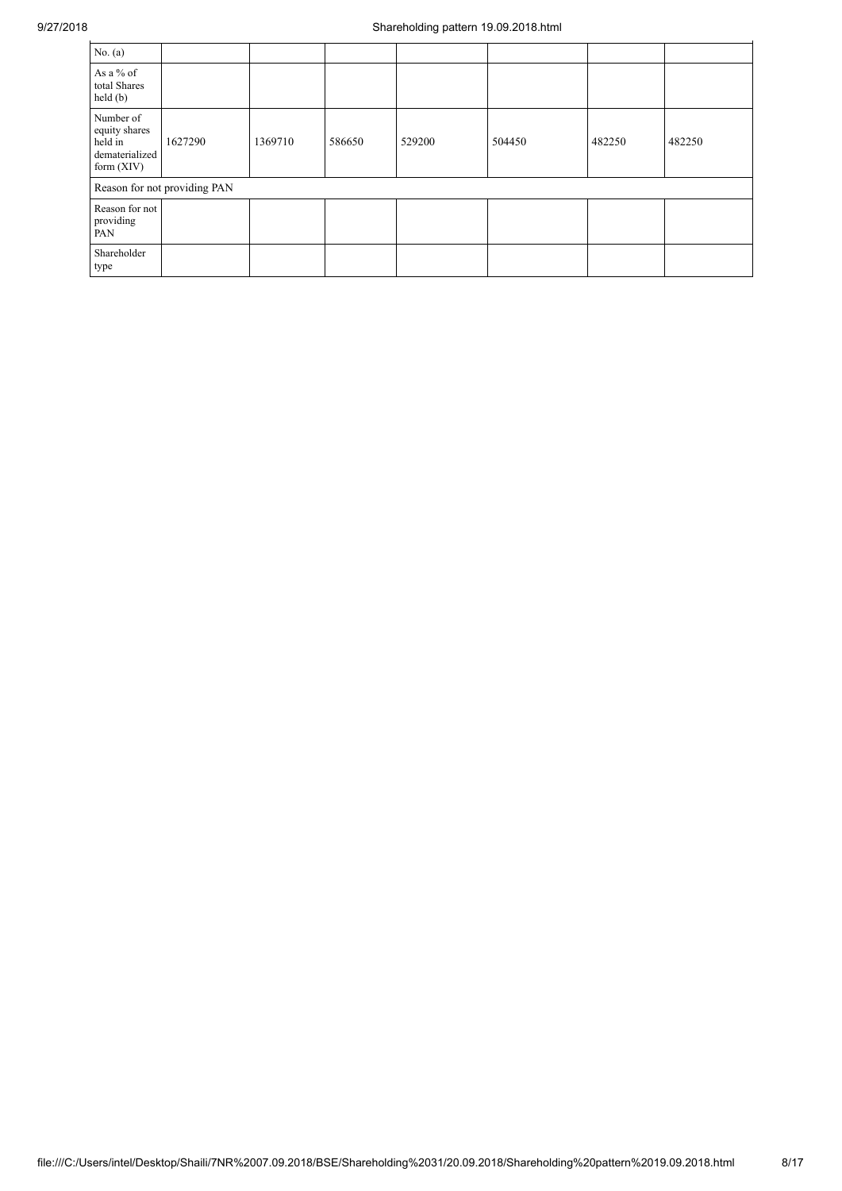| No. $(a)$                                                             |                              |         |        |        |        |        |        |
|-----------------------------------------------------------------------|------------------------------|---------|--------|--------|--------|--------|--------|
| As a % of<br>total Shares<br>held(b)                                  |                              |         |        |        |        |        |        |
| Number of<br>equity shares<br>held in<br>dematerialized<br>form (XIV) | 1627290                      | 1369710 | 586650 | 529200 | 504450 | 482250 | 482250 |
|                                                                       | Reason for not providing PAN |         |        |        |        |        |        |
| Reason for not<br>providing<br>PAN                                    |                              |         |        |        |        |        |        |
| Shareholder<br>type                                                   |                              |         |        |        |        |        |        |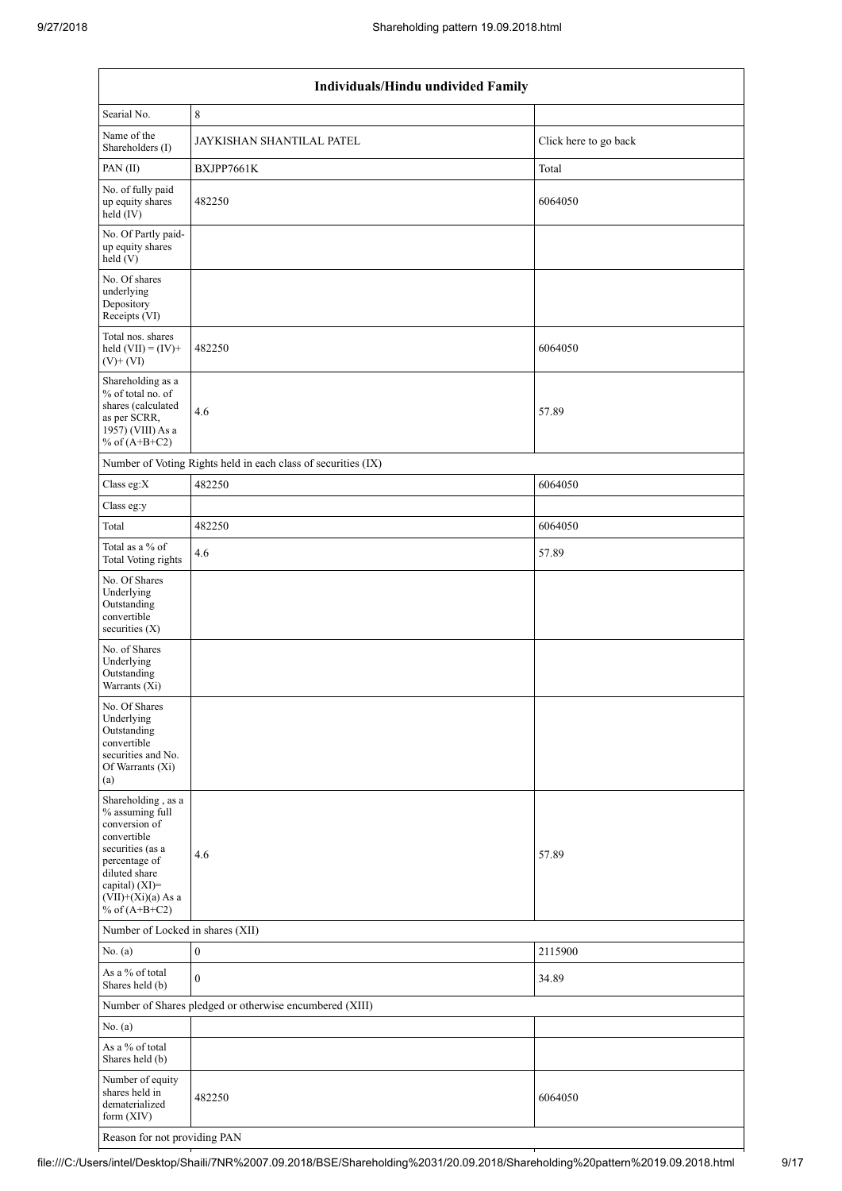|                                                                                                                                                                                          | Individuals/Hindu undivided Family                            |                       |  |  |  |  |  |  |  |  |  |
|------------------------------------------------------------------------------------------------------------------------------------------------------------------------------------------|---------------------------------------------------------------|-----------------------|--|--|--|--|--|--|--|--|--|
| Searial No.                                                                                                                                                                              | $\,8\,$                                                       |                       |  |  |  |  |  |  |  |  |  |
| Name of the<br>Shareholders (I)                                                                                                                                                          | JAYKISHAN SHANTILAL PATEL                                     | Click here to go back |  |  |  |  |  |  |  |  |  |
| PAN (II)                                                                                                                                                                                 | BXJPP7661K                                                    | Total                 |  |  |  |  |  |  |  |  |  |
| No. of fully paid<br>up equity shares<br>held (IV)                                                                                                                                       | 482250                                                        | 6064050               |  |  |  |  |  |  |  |  |  |
| No. Of Partly paid-<br>up equity shares<br>held (V)                                                                                                                                      |                                                               |                       |  |  |  |  |  |  |  |  |  |
| No. Of shares<br>underlying<br>Depository<br>Receipts (VI)                                                                                                                               |                                                               |                       |  |  |  |  |  |  |  |  |  |
| Total nos. shares<br>held $(VII) = (IV) +$<br>$(V)$ + $(VI)$                                                                                                                             | 482250                                                        | 6064050               |  |  |  |  |  |  |  |  |  |
| Shareholding as a<br>% of total no. of<br>shares (calculated<br>as per SCRR,<br>1957) (VIII) As a<br>% of $(A+B+C2)$                                                                     | 4.6                                                           | 57.89                 |  |  |  |  |  |  |  |  |  |
|                                                                                                                                                                                          | Number of Voting Rights held in each class of securities (IX) |                       |  |  |  |  |  |  |  |  |  |
| Class eg:X                                                                                                                                                                               | 482250                                                        | 6064050               |  |  |  |  |  |  |  |  |  |
| Class eg:y                                                                                                                                                                               |                                                               |                       |  |  |  |  |  |  |  |  |  |
| Total                                                                                                                                                                                    | 482250                                                        | 6064050               |  |  |  |  |  |  |  |  |  |
| Total as a % of<br><b>Total Voting rights</b>                                                                                                                                            | 4.6                                                           | 57.89                 |  |  |  |  |  |  |  |  |  |
| No. Of Shares<br>Underlying<br>Outstanding<br>convertible<br>securities $(X)$                                                                                                            |                                                               |                       |  |  |  |  |  |  |  |  |  |
| No. of Shares<br>Underlying<br>Outstanding<br>Warrants (Xi)                                                                                                                              |                                                               |                       |  |  |  |  |  |  |  |  |  |
| No. Of Shares<br>Underlying<br>Outstanding<br>convertible<br>securities and No.<br>Of Warrants (Xi)<br>(a)                                                                               |                                                               |                       |  |  |  |  |  |  |  |  |  |
| Shareholding, as a<br>% assuming full<br>conversion of<br>convertible<br>securities (as a<br>percentage of<br>diluted share<br>capital) (XI)=<br>$(VII)+(Xi)(a)$ As a<br>% of $(A+B+C2)$ | 4.6                                                           | 57.89                 |  |  |  |  |  |  |  |  |  |
| Number of Locked in shares (XII)                                                                                                                                                         |                                                               |                       |  |  |  |  |  |  |  |  |  |
| No. (a)                                                                                                                                                                                  | $\boldsymbol{0}$                                              | 2115900               |  |  |  |  |  |  |  |  |  |
| As a % of total<br>Shares held (b)                                                                                                                                                       | $\boldsymbol{0}$                                              | 34.89                 |  |  |  |  |  |  |  |  |  |
|                                                                                                                                                                                          | Number of Shares pledged or otherwise encumbered (XIII)       |                       |  |  |  |  |  |  |  |  |  |
| No. (a)                                                                                                                                                                                  |                                                               |                       |  |  |  |  |  |  |  |  |  |
| As a % of total<br>Shares held (b)                                                                                                                                                       |                                                               |                       |  |  |  |  |  |  |  |  |  |
| Number of equity<br>shares held in<br>dematerialized<br>form (XIV)                                                                                                                       | 482250                                                        | 6064050               |  |  |  |  |  |  |  |  |  |
| Reason for not providing PAN                                                                                                                                                             |                                                               |                       |  |  |  |  |  |  |  |  |  |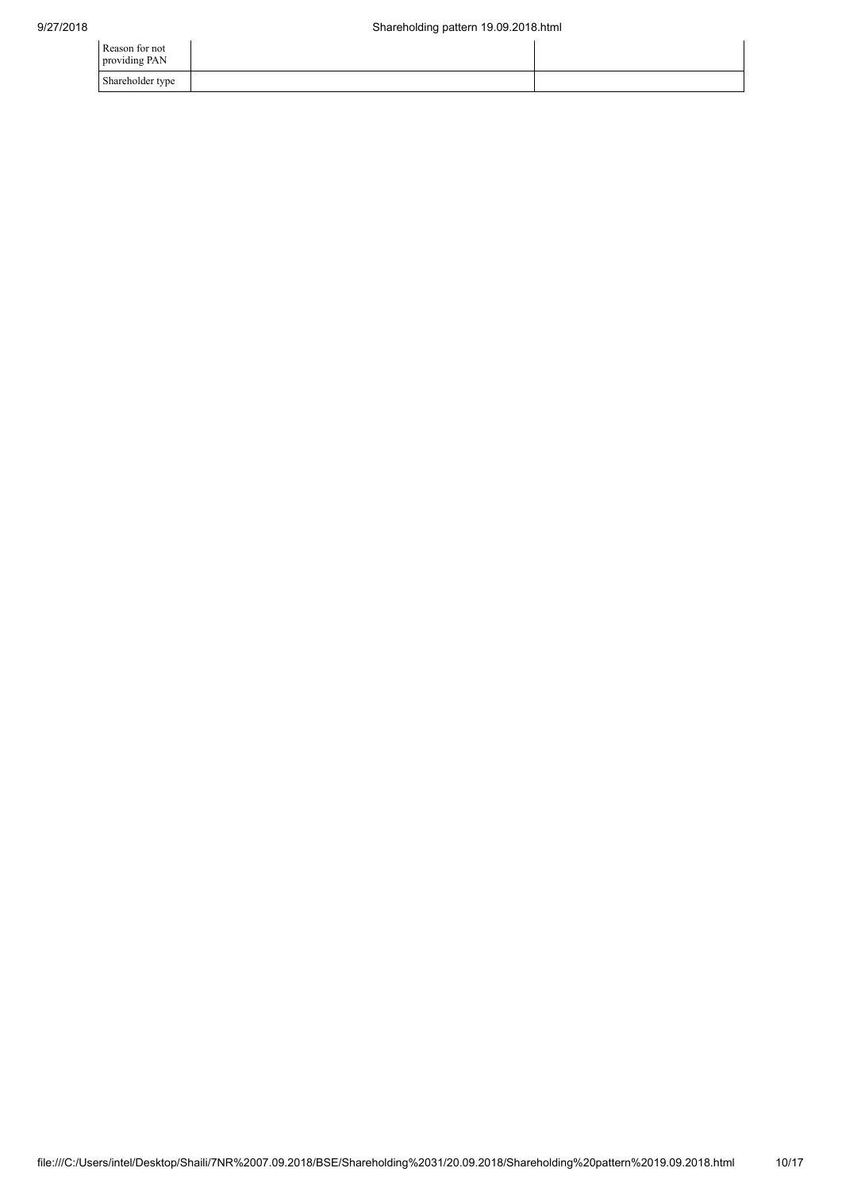| Reason for not<br>providing PAN |  |
|---------------------------------|--|
| Shareholder type                |  |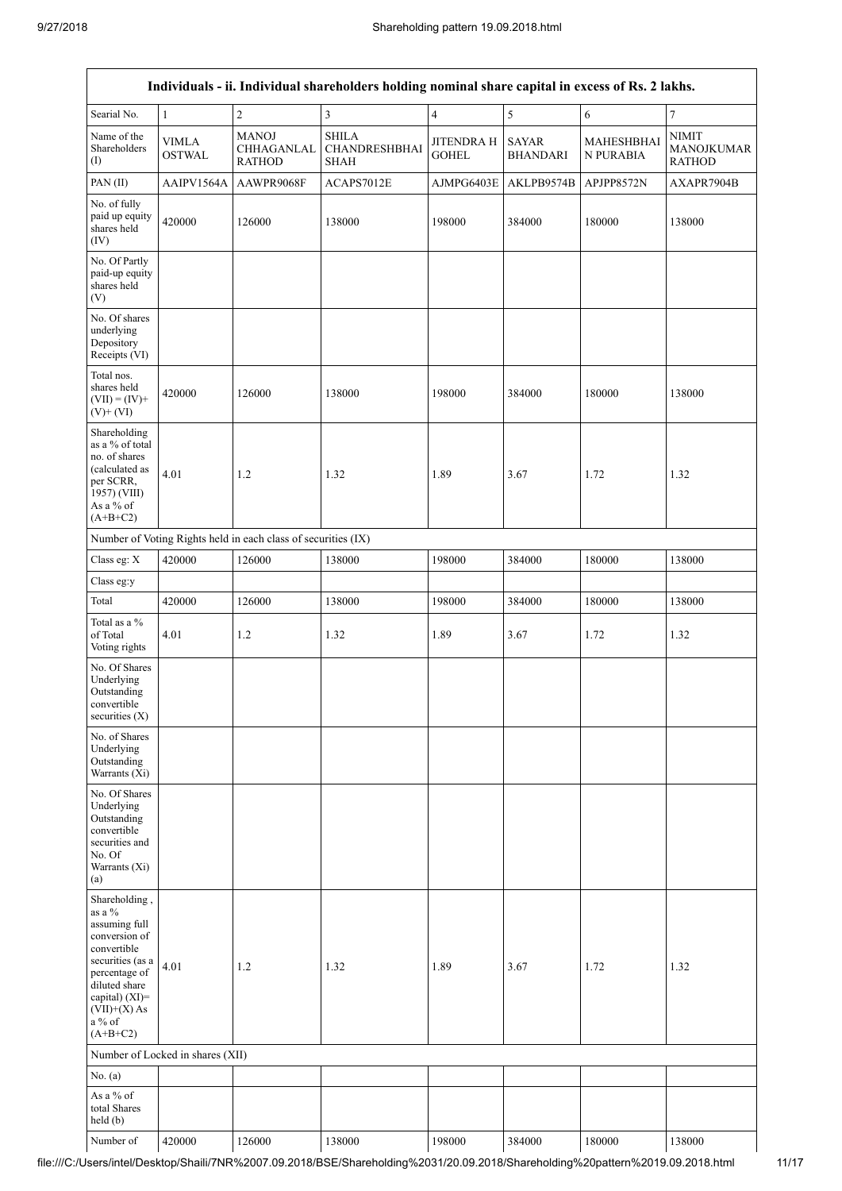|                                                                                                                                                                                                 | Individuals - ii. Individual shareholders holding nominal share capital in excess of Rs. 2 lakhs. |                                                               |                                              |                            |                                 |                                |                                             |  |  |  |  |
|-------------------------------------------------------------------------------------------------------------------------------------------------------------------------------------------------|---------------------------------------------------------------------------------------------------|---------------------------------------------------------------|----------------------------------------------|----------------------------|---------------------------------|--------------------------------|---------------------------------------------|--|--|--|--|
| Searial No.                                                                                                                                                                                     | $\mathbf{1}$                                                                                      | $\sqrt{2}$                                                    | $\overline{3}$                               | $\overline{4}$             | 5                               | 6                              | 7                                           |  |  |  |  |
| Name of the<br>Shareholders<br>(1)                                                                                                                                                              | <b>VIMLA</b><br><b>OSTWAL</b>                                                                     | <b>MANOJ</b><br>CHHAGANLAL<br><b>RATHOD</b>                   | <b>SHILA</b><br>CHANDRESHBHAI<br><b>SHAH</b> | JITENDRA H<br><b>GOHEL</b> | <b>SAYAR</b><br><b>BHANDARI</b> | <b>MAHESHBHAI</b><br>N PURABIA | NIMIT<br><b>MANOJKUMAR</b><br><b>RATHOD</b> |  |  |  |  |
| PAN (II)                                                                                                                                                                                        | AAIPV1564A                                                                                        | AAWPR9068F                                                    | ACAPS7012E                                   | AJMPG6403E                 | AKLPB9574B                      | APJPP8572N                     | AXAPR7904B                                  |  |  |  |  |
| No. of fully<br>paid up equity<br>shares held<br>(IV)                                                                                                                                           | 420000                                                                                            | 126000                                                        | 138000                                       | 198000                     | 384000                          | 180000                         | 138000                                      |  |  |  |  |
| No. Of Partly<br>paid-up equity<br>shares held<br>(V)                                                                                                                                           |                                                                                                   |                                                               |                                              |                            |                                 |                                |                                             |  |  |  |  |
| No. Of shares<br>underlying<br>Depository<br>Receipts (VI)                                                                                                                                      |                                                                                                   |                                                               |                                              |                            |                                 |                                |                                             |  |  |  |  |
| Total nos.<br>shares held<br>$(VII) = (IV) +$<br>$(V)+(VI)$                                                                                                                                     | 420000                                                                                            | 126000                                                        | 138000                                       | 198000                     | 384000                          | 180000                         | 138000                                      |  |  |  |  |
| Shareholding<br>as a % of total<br>no. of shares<br>(calculated as<br>per SCRR,<br>1957) (VIII)<br>As a % of<br>$(A+B+C2)$                                                                      | 4.01                                                                                              | 1.2                                                           | 1.32                                         | 1.89                       | 3.67                            | 1.72                           | 1.32                                        |  |  |  |  |
|                                                                                                                                                                                                 |                                                                                                   | Number of Voting Rights held in each class of securities (IX) |                                              |                            |                                 |                                |                                             |  |  |  |  |
| Class eg: X                                                                                                                                                                                     | 420000                                                                                            | 126000                                                        | 138000                                       | 198000                     | 384000                          | 180000                         | 138000                                      |  |  |  |  |
| Class eg:y                                                                                                                                                                                      |                                                                                                   |                                                               |                                              |                            |                                 |                                |                                             |  |  |  |  |
| Total                                                                                                                                                                                           | 420000                                                                                            | 126000                                                        | 138000                                       | 198000                     | 384000                          | 180000                         | 138000                                      |  |  |  |  |
| Total as a %<br>of Total<br>Voting rights                                                                                                                                                       | 4.01                                                                                              | 1.2                                                           | 1.32                                         | 1.89                       | 3.67                            | 1.72                           | 1.32                                        |  |  |  |  |
| No. Of Shares<br>Underlying<br>Outstanding<br>convertible<br>securities $(X)$                                                                                                                   |                                                                                                   |                                                               |                                              |                            |                                 |                                |                                             |  |  |  |  |
| No. of Shares<br>Underlying<br>Outstanding<br>Warrants (Xi)                                                                                                                                     |                                                                                                   |                                                               |                                              |                            |                                 |                                |                                             |  |  |  |  |
| No. Of Shares<br>Underlying<br>Outstanding<br>convertible<br>securities and<br>No. Of<br>Warrants (Xi)<br>(a)                                                                                   |                                                                                                   |                                                               |                                              |                            |                                 |                                |                                             |  |  |  |  |
| Shareholding,<br>as a $\%$<br>assuming full<br>conversion of<br>convertible<br>securities (as a<br>percentage of<br>diluted share<br>capital) $(XI)$ =<br>$(VII)+(X)$ As<br>a% of<br>$(A+B+C2)$ | 4.01                                                                                              | 1.2                                                           | 1.32                                         | 1.89                       | 3.67                            | 1.72                           | 1.32                                        |  |  |  |  |
|                                                                                                                                                                                                 | Number of Locked in shares (XII)                                                                  |                                                               |                                              |                            |                                 |                                |                                             |  |  |  |  |
| No. $(a)$                                                                                                                                                                                       |                                                                                                   |                                                               |                                              |                            |                                 |                                |                                             |  |  |  |  |
| As a % of<br>total Shares<br>held(b)                                                                                                                                                            |                                                                                                   |                                                               |                                              |                            |                                 |                                |                                             |  |  |  |  |
| Number of                                                                                                                                                                                       | 420000                                                                                            | 126000                                                        | 138000                                       | 198000                     | 384000                          | 180000                         | 138000                                      |  |  |  |  |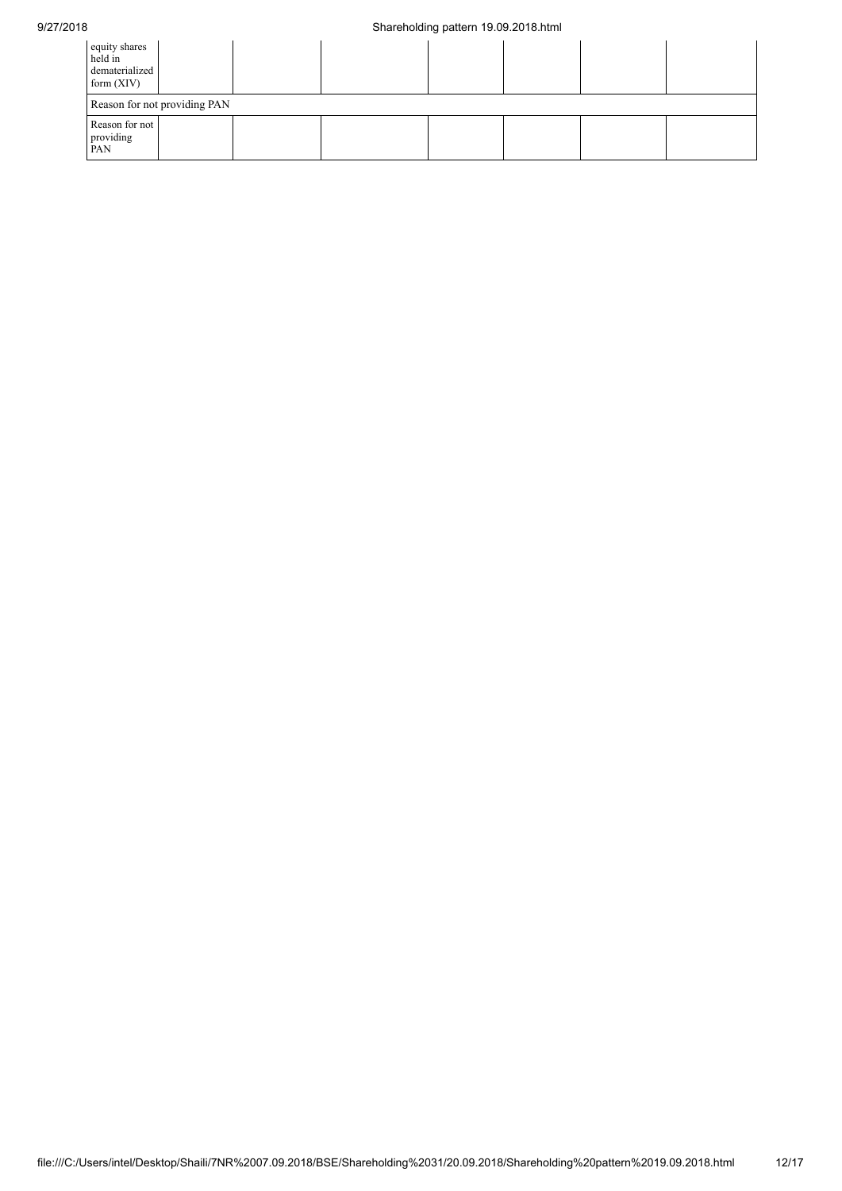## 9/27/2018 Shareholding pattern 19.09.2018.html

| equity shares<br>held in<br>dematerialized<br>form $(XIV)$ |  |  |  |  |  |  |  |  |  |
|------------------------------------------------------------|--|--|--|--|--|--|--|--|--|
| Reason for not providing PAN                               |  |  |  |  |  |  |  |  |  |
| Reason for not<br>providing<br>PAN                         |  |  |  |  |  |  |  |  |  |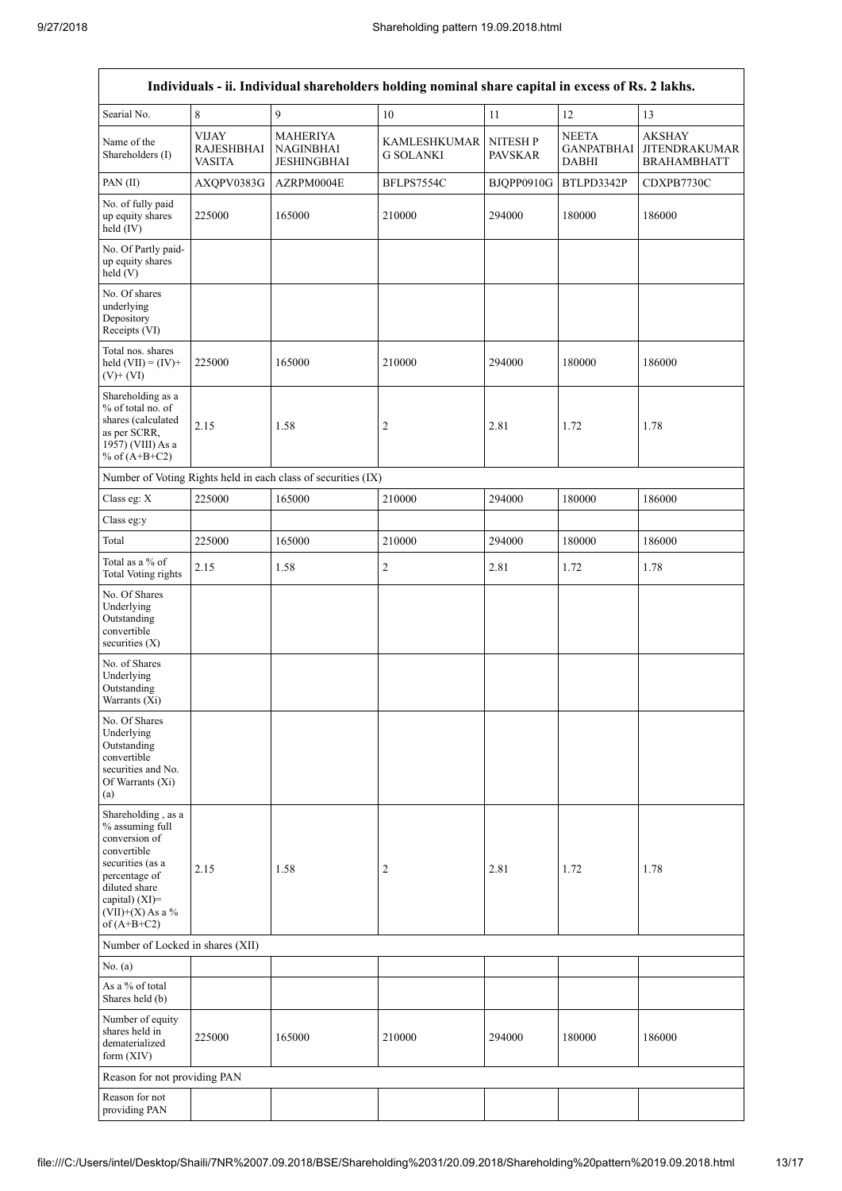$\overline{\mathbf{1}}$ 

| Individuals - ii. Individual shareholders holding nominal share capital in excess of Rs. 2 lakhs.                                                                                    |                                                    |                                                               |                                         |                                   |                                                   |                                                             |
|--------------------------------------------------------------------------------------------------------------------------------------------------------------------------------------|----------------------------------------------------|---------------------------------------------------------------|-----------------------------------------|-----------------------------------|---------------------------------------------------|-------------------------------------------------------------|
| Searial No.                                                                                                                                                                          | $\,8\,$                                            | $\mathfrak{g}$                                                | $10\,$                                  | 11                                | 12                                                | 13                                                          |
| Name of the<br>Shareholders (I)                                                                                                                                                      | <b>VIJAY</b><br><b>RAJESHBHAI</b><br><b>VASITA</b> | <b>MAHERIYA</b><br><b>NAGINBHAI</b><br><b>JESHINGBHAI</b>     | <b>KAMLESHKUMAR</b><br><b>G SOLANKI</b> | <b>NITESH P</b><br><b>PAVSKAR</b> | <b>NEETA</b><br><b>GANPATBHAI</b><br><b>DABHI</b> | <b>AKSHAY</b><br><b>JITENDRAKUMAR</b><br><b>BRAHAMBHATT</b> |
| PAN(II)                                                                                                                                                                              | AXQPV0383G                                         | AZRPM0004E                                                    | BFLPS7554C                              | BJQPP0910G                        | BTLPD3342P                                        | CDXPB7730C                                                  |
| No. of fully paid<br>up equity shares<br>held (IV)                                                                                                                                   | 225000                                             | 165000                                                        | 210000                                  | 294000                            | 180000                                            | 186000                                                      |
| No. Of Partly paid-<br>up equity shares<br>held (V)                                                                                                                                  |                                                    |                                                               |                                         |                                   |                                                   |                                                             |
| No. Of shares<br>underlying<br>Depository<br>Receipts (VI)                                                                                                                           |                                                    |                                                               |                                         |                                   |                                                   |                                                             |
| Total nos. shares<br>held $(VII) = (IV) +$<br>$(V)$ + $(VI)$                                                                                                                         | 225000                                             | 165000                                                        | 210000                                  | 294000                            | 180000                                            | 186000                                                      |
| Shareholding as a<br>% of total no. of<br>shares (calculated<br>as per SCRR,<br>1957) (VIII) As a<br>% of $(A+B+C2)$                                                                 | 2.15                                               | 1.58                                                          | $\overline{c}$                          | 2.81                              | 1.72                                              | 1.78                                                        |
|                                                                                                                                                                                      |                                                    | Number of Voting Rights held in each class of securities (IX) |                                         |                                   |                                                   |                                                             |
| Class eg: X                                                                                                                                                                          | 225000                                             | 165000                                                        | 210000                                  | 294000                            | 180000                                            | 186000                                                      |
| Class eg:y                                                                                                                                                                           |                                                    |                                                               |                                         |                                   |                                                   |                                                             |
| Total                                                                                                                                                                                | 225000                                             | 165000                                                        | 210000                                  | 294000                            | 180000                                            | 186000                                                      |
| Total as a % of<br><b>Total Voting rights</b>                                                                                                                                        | 2.15                                               | 1.58                                                          | $\mathbf{2}$                            | 2.81                              | 1.72                                              | 1.78                                                        |
| No. Of Shares<br>Underlying<br>Outstanding<br>convertible<br>securities $(X)$                                                                                                        |                                                    |                                                               |                                         |                                   |                                                   |                                                             |
| No. of Shares<br>Underlying<br>Outstanding<br>Warrants (Xi)                                                                                                                          |                                                    |                                                               |                                         |                                   |                                                   |                                                             |
| No. Of Shares<br>Underlying<br>Outstanding<br>convertible<br>securities and No.<br>Of Warrants (Xi)<br>(a)                                                                           |                                                    |                                                               |                                         |                                   |                                                   |                                                             |
| Shareholding, as a<br>% assuming full<br>conversion of<br>convertible<br>securities (as a<br>percentage of<br>diluted share<br>capital) (XI)=<br>$(VII)+(X)$ As a %<br>of $(A+B+C2)$ | 2.15                                               | 1.58                                                          | $\overline{c}$                          | 2.81                              | 1.72                                              | 1.78                                                        |
| Number of Locked in shares (XII)                                                                                                                                                     |                                                    |                                                               |                                         |                                   |                                                   |                                                             |
| No. (a)                                                                                                                                                                              |                                                    |                                                               |                                         |                                   |                                                   |                                                             |
| As a % of total<br>Shares held (b)                                                                                                                                                   |                                                    |                                                               |                                         |                                   |                                                   |                                                             |
| Number of equity<br>shares held in<br>dematerialized<br>form (XIV)                                                                                                                   | 225000                                             | 165000                                                        | 210000                                  | 294000                            | 180000                                            | 186000                                                      |
| Reason for not providing PAN                                                                                                                                                         |                                                    |                                                               |                                         |                                   |                                                   |                                                             |
| Reason for not<br>providing PAN                                                                                                                                                      |                                                    |                                                               |                                         |                                   |                                                   |                                                             |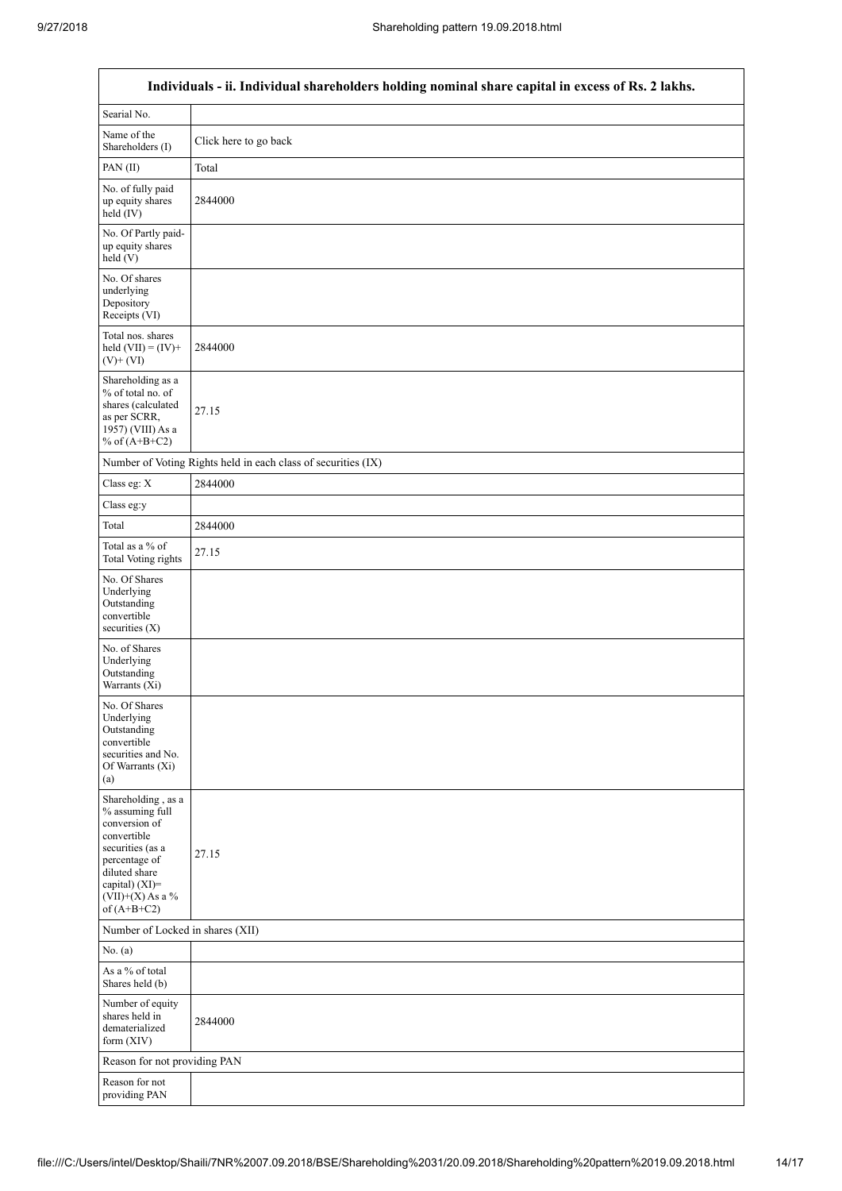| Individuals - ii. Individual shareholders holding nominal share capital in excess of Rs. 2 lakhs.                                                                                    |                                                               |  |  |  |
|--------------------------------------------------------------------------------------------------------------------------------------------------------------------------------------|---------------------------------------------------------------|--|--|--|
| Searial No.                                                                                                                                                                          |                                                               |  |  |  |
| Name of the<br>Shareholders (I)                                                                                                                                                      | Click here to go back                                         |  |  |  |
| PAN(II)                                                                                                                                                                              | Total                                                         |  |  |  |
| No. of fully paid<br>up equity shares<br>held (IV)                                                                                                                                   | 2844000                                                       |  |  |  |
| No. Of Partly paid-<br>up equity shares<br>held (V)                                                                                                                                  |                                                               |  |  |  |
| No. Of shares<br>underlying<br>Depository<br>Receipts (VI)                                                                                                                           |                                                               |  |  |  |
| Total nos. shares<br>held $(VII) = (IV) +$<br>$(V) + (VI)$                                                                                                                           | 2844000                                                       |  |  |  |
| Shareholding as a<br>% of total no. of<br>shares (calculated<br>as per SCRR,<br>1957) (VIII) As a<br>% of $(A+B+C2)$                                                                 | 27.15                                                         |  |  |  |
|                                                                                                                                                                                      | Number of Voting Rights held in each class of securities (IX) |  |  |  |
| Class eg: X                                                                                                                                                                          | 2844000                                                       |  |  |  |
| Class eg:y                                                                                                                                                                           |                                                               |  |  |  |
| Total                                                                                                                                                                                | 2844000                                                       |  |  |  |
| Total as a % of<br>Total Voting rights                                                                                                                                               | 27.15                                                         |  |  |  |
| No. Of Shares<br>Underlying<br>Outstanding<br>convertible<br>securities $(X)$                                                                                                        |                                                               |  |  |  |
| No. of Shares<br>Underlying<br>Outstanding<br>Warrants (Xi)                                                                                                                          |                                                               |  |  |  |
| No. Of Shares<br>Underlying<br>Outstanding<br>convertible<br>securities and No.<br>Of Warrants (Xi)<br>(a)                                                                           |                                                               |  |  |  |
| Shareholding, as a<br>% assuming full<br>conversion of<br>convertible<br>securities (as a<br>percentage of<br>diluted share<br>capital) (XI)=<br>$(VII)+(X)$ As a %<br>of $(A+B+C2)$ | 27.15                                                         |  |  |  |
| Number of Locked in shares (XII)                                                                                                                                                     |                                                               |  |  |  |
| No. (a)                                                                                                                                                                              |                                                               |  |  |  |
| As a % of total<br>Shares held (b)                                                                                                                                                   |                                                               |  |  |  |
| Number of equity<br>shares held in<br>dematerialized<br>form $(XIV)$                                                                                                                 | 2844000                                                       |  |  |  |
| Reason for not providing PAN                                                                                                                                                         |                                                               |  |  |  |
| Reason for not<br>providing PAN                                                                                                                                                      |                                                               |  |  |  |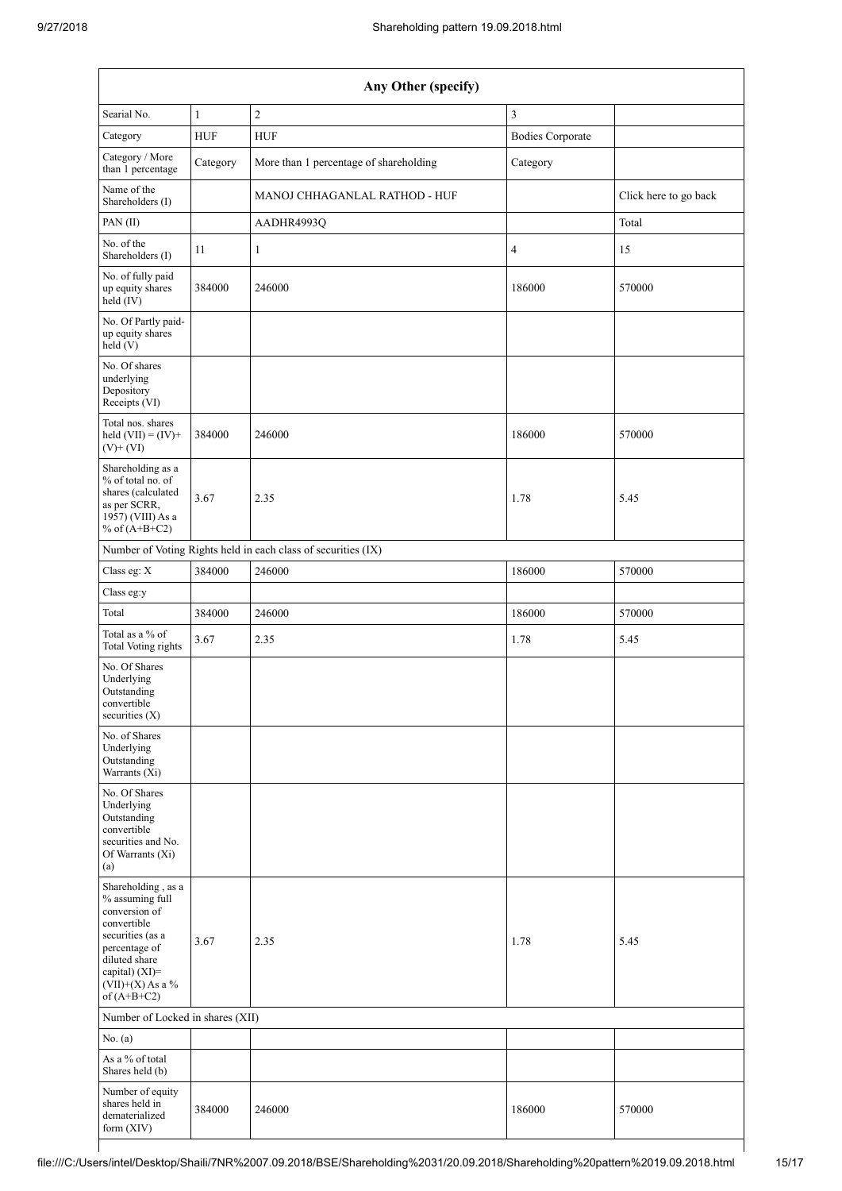| Any Other (specify)                                                                                                                                                                   |              |                                                               |                         |                       |  |
|---------------------------------------------------------------------------------------------------------------------------------------------------------------------------------------|--------------|---------------------------------------------------------------|-------------------------|-----------------------|--|
| Searial No.                                                                                                                                                                           | $\mathbf{1}$ | $\sqrt{2}$                                                    | $\mathfrak{Z}$          |                       |  |
| Category                                                                                                                                                                              | <b>HUF</b>   | <b>HUF</b>                                                    | <b>Bodies Corporate</b> |                       |  |
| Category / More<br>than 1 percentage                                                                                                                                                  | Category     | More than 1 percentage of shareholding<br>Category            |                         |                       |  |
| Name of the<br>Shareholders (I)                                                                                                                                                       |              | MANOJ CHHAGANLAL RATHOD - HUF                                 |                         | Click here to go back |  |
| PAN (II)                                                                                                                                                                              |              | AADHR4993Q                                                    |                         | Total                 |  |
| No. of the<br>Shareholders (I)                                                                                                                                                        | 11           | 1                                                             | 4                       | 15                    |  |
| No. of fully paid<br>up equity shares<br>held (IV)                                                                                                                                    | 384000       | 246000                                                        | 186000                  | 570000                |  |
| No. Of Partly paid-<br>up equity shares<br>held(V)                                                                                                                                    |              |                                                               |                         |                       |  |
| No. Of shares<br>underlying<br>Depository<br>Receipts (VI)                                                                                                                            |              |                                                               |                         |                       |  |
| Total nos. shares<br>held $(VII) = (IV) +$<br>$(V)$ + $(VI)$                                                                                                                          | 384000       | 246000                                                        | 186000                  | 570000                |  |
| Shareholding as a<br>% of total no. of<br>shares (calculated<br>as per SCRR,<br>1957) (VIII) As a<br>% of $(A+B+C2)$                                                                  | 3.67         | 2.35                                                          | 1.78                    | 5.45                  |  |
|                                                                                                                                                                                       |              | Number of Voting Rights held in each class of securities (IX) |                         |                       |  |
| Class eg: X                                                                                                                                                                           | 384000       | 246000                                                        | 186000                  | 570000                |  |
| Class eg:y                                                                                                                                                                            |              |                                                               |                         |                       |  |
| Total                                                                                                                                                                                 | 384000       | 246000                                                        | 186000                  | 570000                |  |
| Total as a % of<br><b>Total Voting rights</b>                                                                                                                                         | 3.67         | 2.35                                                          | 1.78                    | 5.45                  |  |
| No. Of Shares<br>Underlying<br>Outstanding<br>convertible<br>securities (X)                                                                                                           |              |                                                               |                         |                       |  |
| No. of Shares<br>Underlying<br>Outstanding<br>Warrants (Xi)                                                                                                                           |              |                                                               |                         |                       |  |
| No. Of Shares<br>Underlying<br>Outstanding<br>convertible<br>securities and No.<br>Of Warrants (Xi)<br>(a)                                                                            |              |                                                               |                         |                       |  |
| Shareholding, as a<br>% assuming full<br>conversion of<br>convertible<br>securities (as a<br>percentage of<br>diluted share<br>capital) (XI)=<br>(VII)+(X) As a $\%$<br>of $(A+B+C2)$ | 3.67         | 2.35                                                          | 1.78                    | 5.45                  |  |
| Number of Locked in shares (XII)                                                                                                                                                      |              |                                                               |                         |                       |  |
| No. (a)                                                                                                                                                                               |              |                                                               |                         |                       |  |
| As a % of total<br>Shares held (b)                                                                                                                                                    |              |                                                               |                         |                       |  |
| Number of equity<br>shares held in<br>dematerialized<br>form (XIV)                                                                                                                    | 384000       | 246000                                                        | 186000                  | 570000                |  |